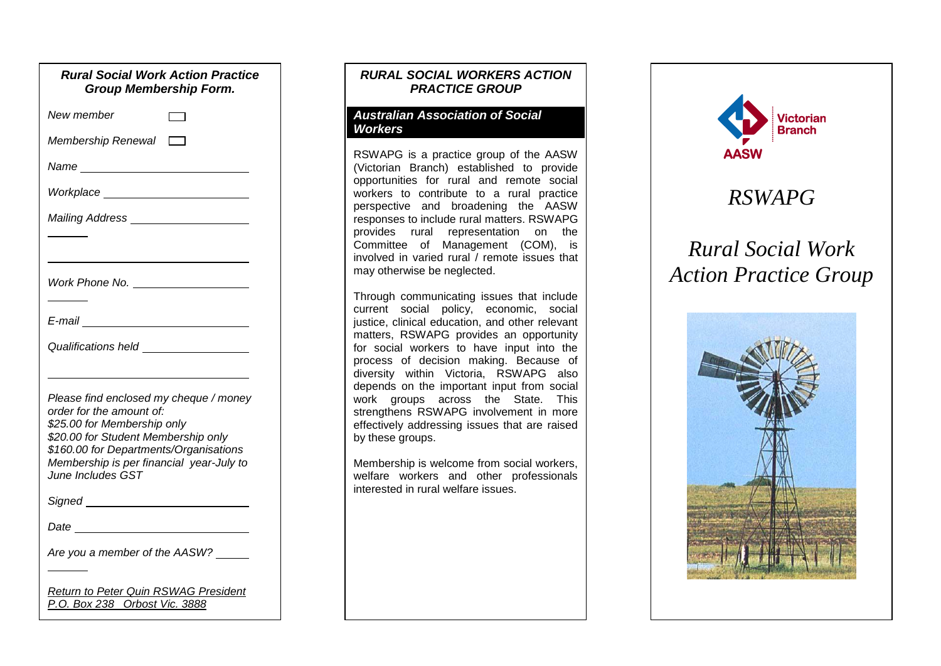| <b>Rural Social Work Action Practice</b><br><b>Group Membership Form.</b>                                                                                                                                                                           |
|-----------------------------------------------------------------------------------------------------------------------------------------------------------------------------------------------------------------------------------------------------|
| New member                                                                                                                                                                                                                                          |
| Membership Renewal $\Box$                                                                                                                                                                                                                           |
|                                                                                                                                                                                                                                                     |
| Workplace ___________________________                                                                                                                                                                                                               |
| Mailing Address ______________________                                                                                                                                                                                                              |
|                                                                                                                                                                                                                                                     |
|                                                                                                                                                                                                                                                     |
| E-mail <u>______________</u>                                                                                                                                                                                                                        |
|                                                                                                                                                                                                                                                     |
| Please find enclosed my cheque / money<br>order for the amount of:<br>\$25.00 for Membership only<br>\$20.00 for Student Membership only<br>\$160.00 for Departments/Organisations<br>Membership is per financial year-July to<br>June Includes GST |
|                                                                                                                                                                                                                                                     |
|                                                                                                                                                                                                                                                     |
| Are you a member of the AASW?                                                                                                                                                                                                                       |
| <b>Return to Peter Quin RSWAG President</b><br>P.O. Box 238 Orbost Vic. 3888                                                                                                                                                                        |

## *RURAL SOCIAL WORKERS ACTION PRACTICE GROUP*

#### *Australian Association of Social Workers*

RSWAPG is a practice group of the AASW (Victorian Branch) established to provide opportunities for rural and remote social workers to contribute to a rural practice perspective and broadening the AASW responses to include rural matters. RSWAPG provides rural representation on the Committee of Management (COM), is involved in varied rural / remote issues that may otherwise be neglected.

Through communicating issues that include current social policy, economic, social justice, clinical education, and other relevant matters, RSWAPG provides an opportunity for social workers to have input into the process of decision making. Because of diversity within Victoria, RSWAPG also depends on the important input from social work groups across the State. This strengthens RSWAPG involvement in more effectively addressing issues that are raised by these groups.

Membership is welcome from social workers, welfare workers and other professionals interested in rural welfare issues.



## *RSWAPG*

# *Rural Social Work Action Practice Group*